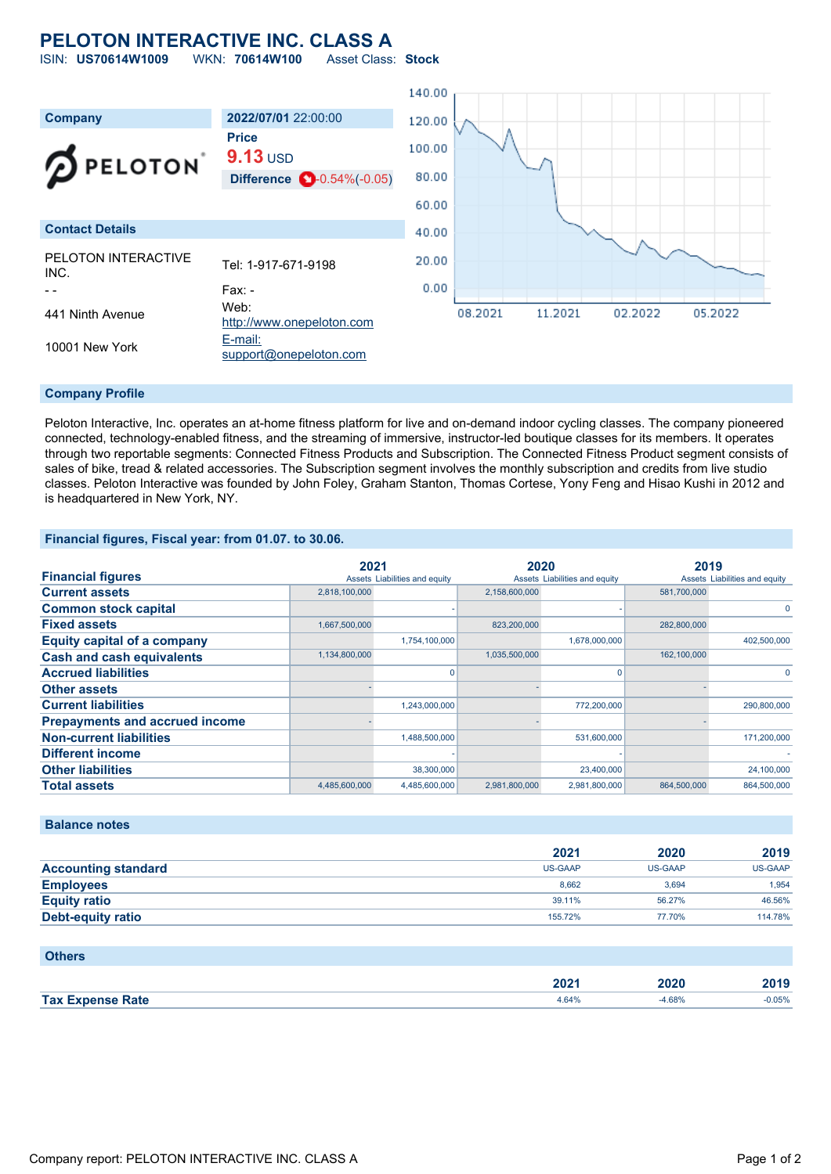## **PELOTON INTERACTIVE INC. CLASS A** ISIN: **US70614W1009** WKN: **70614W100** Asset Class: **Stock**

140.00 **Company 2022/07/01** 22:00:00 120.00 **Price** 100.00 **9.13** USD **PELOTON** 80.00 **Difference**  $\bullet$  0.54%(-0.05) 60.00 **Contact Details** 40.00 PELOTON INTERACTIVE 20.00 PELOTON INTERACTIVE Tel: 1-917-671-9198  $0.00$ - - Fax: -441 Ninth Avenue Web: 11.2021 05.2022 08.2021 02.2022 [http://www.onepeloton.com](http://www.onepeloton.com/) 10001 New York **[E-mail:](mailto:support@onepeloton.com)** [support@onepeloton.com](mailto:support@onepeloton.com)

## **Company Profile**

Peloton Interactive, Inc. operates an at-home fitness platform for live and on-demand indoor cycling classes. The company pioneered connected, technology-enabled fitness, and the streaming of immersive, instructor-led boutique classes for its members. It operates through two reportable segments: Connected Fitness Products and Subscription. The Connected Fitness Product segment consists of sales of bike, tread & related accessories. The Subscription segment involves the monthly subscription and credits from live studio classes. Peloton Interactive was founded by John Foley, Graham Stanton, Thomas Cortese, Yony Feng and Hisao Kushi in 2012 and is headquartered in New York, NY.

### **Financial figures, Fiscal year: from 01.07. to 30.06.**

|                                       | 2021          |                               | 2020          |                               | 2019        |                               |
|---------------------------------------|---------------|-------------------------------|---------------|-------------------------------|-------------|-------------------------------|
| <b>Financial figures</b>              |               | Assets Liabilities and equity |               | Assets Liabilities and equity |             | Assets Liabilities and equity |
| <b>Current assets</b>                 | 2,818,100,000 |                               | 2,158,600,000 |                               | 581,700,000 |                               |
| <b>Common stock capital</b>           |               |                               |               |                               |             |                               |
| <b>Fixed assets</b>                   | 1,667,500,000 |                               | 823,200,000   |                               | 282,800,000 |                               |
| <b>Equity capital of a company</b>    |               | 1,754,100,000                 |               | 1,678,000,000                 |             | 402,500,000                   |
| <b>Cash and cash equivalents</b>      | 1,134,800,000 |                               | 1,035,500,000 |                               | 162,100,000 |                               |
| <b>Accrued liabilities</b>            |               |                               |               |                               |             |                               |
| <b>Other assets</b>                   |               |                               |               |                               |             |                               |
| <b>Current liabilities</b>            |               | 1,243,000,000                 |               | 772,200,000                   |             | 290,800,000                   |
| <b>Prepayments and accrued income</b> |               |                               |               |                               |             |                               |
| <b>Non-current liabilities</b>        |               | 1,488,500,000                 |               | 531,600,000                   |             | 171,200,000                   |
| <b>Different income</b>               |               |                               |               |                               |             |                               |
| <b>Other liabilities</b>              |               | 38,300,000                    |               | 23,400,000                    |             | 24,100,000                    |
| <b>Total assets</b>                   | 4,485,600,000 | 4,485,600,000                 | 2,981,800,000 | 2,981,800,000                 | 864,500,000 | 864,500,000                   |

**Balance notes**

|                            | 2021    | 2020           | 2019           |
|----------------------------|---------|----------------|----------------|
| <b>Accounting standard</b> | US-GAAP | <b>US-GAAP</b> | <b>US-GAAP</b> |
| <b>Employees</b>           | 8.662   | 3.694          | 1.954          |
| <b>Equity ratio</b>        | 39.11%  | 56.27%         | 46.56%         |
| <b>Debt-equity ratio</b>   | 155.72% | 77.70%         | 114.78%        |
|                            |         |                |                |

## **Others**

|                                          | nnn<br>ZUZT | חרחו<br>4 J Z | 2010<br>. . |
|------------------------------------------|-------------|---------------|-------------|
| <b>Tax E</b><br><b>Rafe</b><br>Tynanea R | $+64%$      | .68%          | 0.05%       |